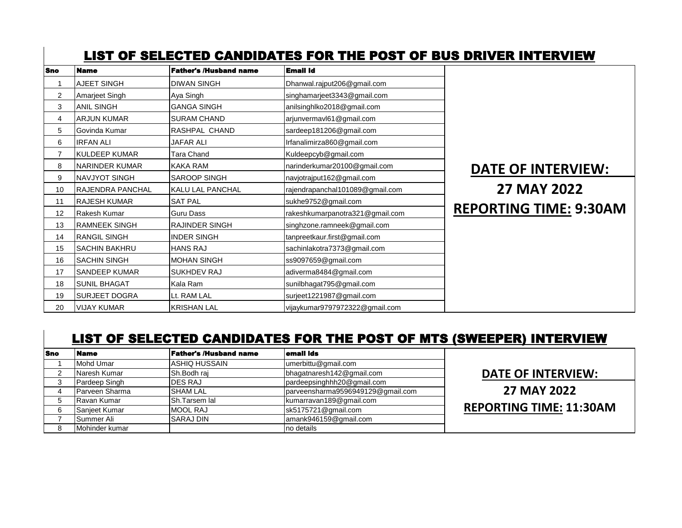## Sno Name Father's /Husband name Email Id LIST OF SELECTED CANDIDATES FOR THE POST OF BUS DRIVER INTERVIEW

| опо            | гчанге                  | гаию з лизвани наше     | EMan Iw                         |                               |
|----------------|-------------------------|-------------------------|---------------------------------|-------------------------------|
|                | <b>AJEET SINGH</b>      | <b>DIWAN SINGH</b>      | Dhanwal.rajput206@gmail.com     |                               |
| $\overline{2}$ | Amarjeet Singh          | Aya Singh               | singhamarjeet3343@gmail.com     |                               |
| 3              | <b>ANIL SINGH</b>       | <b>GANGA SINGH</b>      | anilsinghlko2018@gmail.com      |                               |
| 4              | <b>ARJUN KUMAR</b>      | <b>SURAM CHAND</b>      | arjunvermavl61@gmail.com        |                               |
| 5              | Govinda Kumar           | RASHPAL CHAND           | sardeep181206@gmail.com         |                               |
| 6              | <b>IRFAN ALI</b>        | <b>JAFAR ALI</b>        | Irfanalimirza860@gmail.com      |                               |
| 7              | <b>KULDEEP KUMAR</b>    | <b>Tara Chand</b>       | Kuldeepcyb@gmail.com            |                               |
| 8              | NARINDER KUMAR          | KAKA RAM                | narinderkumar20100@gmail.com    | <b>DATE OF INTERVIEW:</b>     |
| 9              | <b>NAVJYOT SINGH</b>    | <b>SAROOP SINGH</b>     | navjotrajput162@gmail.com       | <b>27 MAY 2022</b>            |
| 10             | <b>RAJENDRA PANCHAL</b> | <b>KALU LAL PANCHAL</b> | rajendrapanchal101089@gmail.com |                               |
| 11             | IRAJESH KUMAR           | <b>SAT PAL</b>          | sukhe9752@gmail.com             |                               |
| 12             | Rakesh Kumar            | <b>Guru Dass</b>        | rakeshkumarpanotra321@gmail.com | <b>REPORTING TIME: 9:30AM</b> |
| 13             | IRAMNEEK SINGH          | <b>RAJINDER SINGH</b>   | singhzone.ramneek@gmail.com     |                               |
| 14             | <b>RANGIL SINGH</b>     | <b>INDER SINGH</b>      | tanpreetkaur.first@gmail.com    |                               |
| 15             | ISACHIN BAKHRU          | <b>HANS RAJ</b>         | sachinlakotra7373@gmail.com     |                               |
| 16             | <b>SACHIN SINGH</b>     | <b>MOHAN SINGH</b>      | ss9097659@gmail.com             |                               |
| 17             | <b>SANDEEP KUMAR</b>    | <b>SUKHDEV RAJ</b>      | adiverma8484@gmail.com          |                               |
| 18             | <b>SUNIL BHAGAT</b>     | Kala Ram                | sunilbhagat795@gmail.com        |                               |
| 19             | <b>SURJEET DOGRA</b>    | Lt. RAM LAL             | surjeet1221987@gmail.com        |                               |
| 20             | <b>VIJAY KUMAR</b>      | <b>KRISHAN LAL</b>      | vijaykumar9797972322@gmail.com  |                               |

## LIST OF SELECTED CANDIDATES FOR THE POST OF MTS (SWEEPER) INTERVIEW

| <b>Sno</b> | <b>Name</b>    | Father's /Husband name | email ids                         |  |
|------------|----------------|------------------------|-----------------------------------|--|
|            | Mohd Umar      | IASHIQ HUSSAIN         | umerbittu@gmail.com               |  |
| ◠          | Naresh Kumar   | Sh.Bodh raj            | bhagatnaresh142@gmail.com         |  |
| 3          | Pardeep Singh  | <b>DES RAJ</b>         | pardeepsinghhh20@gmail.com        |  |
|            | Parveen Sharma | <b>SHAM LAL</b>        | parveensharma9596949129@gmail.com |  |
| 5          | Ravan Kumar    | Sh.Tarsem lal          | kumarravan189@gmail.com           |  |
| 6          | Sanjeet Kumar  | <b>MOOL RAJ</b>        | sk5175721@gmail.com               |  |
|            | Summer Ali     | <b>SARAJ DIN</b>       | amank946159@gmail.com             |  |
| 8          | Mohinder kumar |                        | no details                        |  |

**DATE OF INTERVIEW:** 

**27 MAY 2022** 

**REPORTING TIME: 11:30AM**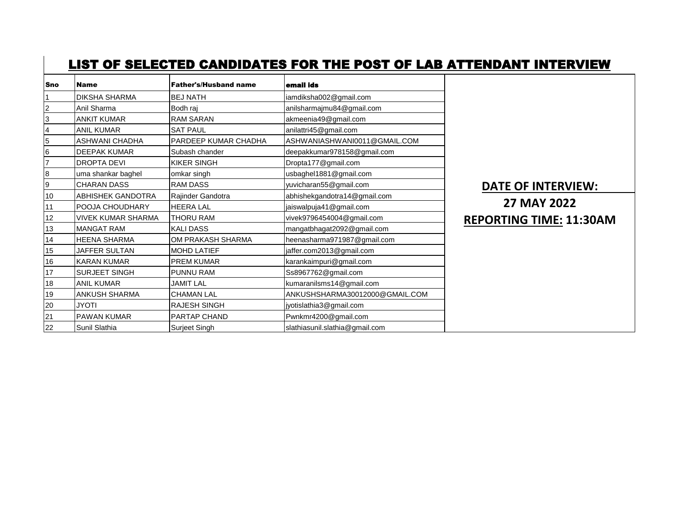## LIST OF SELECTED CANDIDATES FOR THE POST OF LAB ATTENDANT INTERVIEW

| Sno | <b>Name</b>            | <b>Father's/Husband name</b> | email ids                      |                                |
|-----|------------------------|------------------------------|--------------------------------|--------------------------------|
|     | IDIKSHA SHARMA         | <b>BEJ NATH</b>              | iamdiksha002@gmail.com         |                                |
|     | Anil Sharma            | Bodh raj                     | anilsharmajmu84@gmail.com      |                                |
| 3   | <b>ANKIT KUMAR</b>     | <b>RAM SARAN</b>             | akmeenia49@gmail.com           |                                |
| 4   | <b>ANIL KUMAR</b>      | <b>SAT PAUL</b>              | anilattri45@gmail.com          |                                |
| 5   | ASHWANI CHADHA         | PARDEEP KUMAR CHADHA         | ASHWANIASHWANI0011@GMAIL.COM   |                                |
| 6   | <b>DEEPAK KUMAR</b>    | Subash chander               | deepakkumar978158@gmail.com    |                                |
|     | <b>DROPTA DEVI</b>     | <b>KIKER SINGH</b>           | Dropta177@gmail.com            |                                |
| 8   | uma shankar baghel     | omkar singh                  | usbaghel1881@gmail.com         |                                |
| 9   | <b>CHARAN DASS</b>     | <b>RAM DASS</b>              | yuvicharan55@gmail.com         | <b>DATE OF INTERVIEW:</b>      |
| 10  | ABHISHEK GANDOTRA      | Rajinder Gandotra            | abhishekgandotra14@gmail.com   |                                |
| 11  | <b>POOJA CHOUDHARY</b> | <b>HEERA LAL</b>             | jaiswalpuja41@gmail.com        | <b>27 MAY 2022</b>             |
| 12  | IVIVEK KUMAR SHARMA    | <b>THORU RAM</b>             | vivek9796454004@gmail.com      | <b>REPORTING TIME: 11:30AM</b> |
| 13  | <b>MANGAT RAM</b>      | <b>KALIDASS</b>              | mangatbhagat2092@gmail.com     |                                |
| 14  | IHEENA SHARMA          | OM PRAKASH SHARMA            | heenasharma971987@gmail.com    |                                |
| 15  | JAFFER SULTAN          | <b>MOHD LATIEF</b>           | jaffer.com2013@gmail.com       |                                |
| 16  | <b>KARAN KUMAR</b>     | <b>PREM KUMAR</b>            | karankaimpuri@gmail.com        |                                |
| 17  | <b>SURJEET SINGH</b>   | <b>PUNNU RAM</b>             | Ss8967762@gmail.com            |                                |
| 18  | <b>ANIL KUMAR</b>      | <b>JAMIT LAL</b>             | kumaranilsms14@gmail.com       |                                |
| 19  | IANKUSH SHARMA         | <b>CHAMAN LAL</b>            | ANKUSHSHARMA30012000@GMAIL.COM |                                |
| 20  | <b>JYOTI</b>           | <b>RAJESH SINGH</b>          | jyotislathia3@gmail.com        |                                |
| 21  | <b>PAWAN KUMAR</b>     | <b>PARTAP CHAND</b>          | Pwnkmr4200@gmail.com           |                                |
| 22  | Sunil Slathia          | Surjeet Singh                | slathiasunil.slathia@gmail.com |                                |